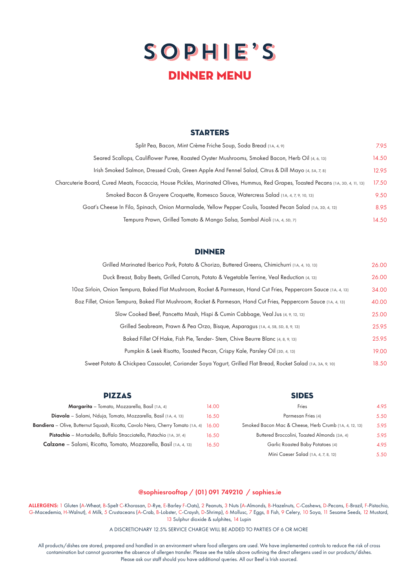## SOPHIE'S dinner menu

## **STARTERS**

| Split Pea, Bacon, Mint Crème Friche Soup, Soda Bread (1A, 4, 9)                                                                   |       |
|-----------------------------------------------------------------------------------------------------------------------------------|-------|
| Seared Scallops, Cauliflower Puree, Roasted Oyster Mushrooms, Smoked Bacon, Herb Oil (4, 6, 13)                                   | 14.50 |
| Irish Smoked Salmon, Dressed Crab, Green Apple And Fennel Salad, Citrus & Dill Mayo (4, 5A, 7, 8)                                 | 12.95 |
| Charcuterie Board, Cured Meats, Focaccia, House Pickles, Marinated Olives, Hummus, Red Grapes, Toasted Pecans (1A, 3D, 4, 11, 13) | 17.50 |
| Smoked Bacon & Gruyere Croquette, Romesco Sauce, Watercress Salad (1A, 4, 7, 9, 10, 13)                                           | 9.50  |
| Goat's Cheese In Filo, Spinach, Onion Marmalade, Yellow Pepper Coulis, Toasted Pecan Salad (1A, 3D, 4, 12)                        | 8.95  |
| Tempura Prawn, Grilled Tomato & Mango Salsa, Sambal Aioli (1A, 4, 5D, 7)                                                          | 14.50 |

## **DINNER**

| Grilled Marinated Iberico Pork, Potato & Chorizo, Buttered Greens, Chimichurri (1A, 4, 10, 13)                    |       |  |
|-------------------------------------------------------------------------------------------------------------------|-------|--|
| Duck Breast, Baby Beets, Grilled Carrots, Potato & Vegetable Terrine, Veal Reduction (4, 13)                      |       |  |
| 10oz Sirloin, Onion Tempura, Baked Flat Mushroom, Rocket & Parmesan, Hand Cut Fries, Peppercorn Sauce (1A, 4, 13) | 34.00 |  |
| 802 Fillet, Onion Tempura, Baked Flat Mushroom, Rocket & Parmesan, Hand Cut Fries, Peppercorn Sauce (1A, 4, 13)   | 40.00 |  |
| Slow Cooked Beef, Pancetta Mash, Hispi & Cumin Cabbage, Veal Jus (4, 9, 12, 13)                                   | 25.00 |  |
| Grilled Seabream, Prawn & Pea Orzo, Bisque, Asparagus (1A, 4, 5B, 5D, 8, 9, 13)                                   | 25.95 |  |
| Baked Fillet Of Hake, Fish Pie, Tender- Stem, Chive Beurre Blanc (4, 8, 9, 13)                                    | 25.95 |  |
| Pumpkin & Leek Risotto, Toasted Pecan, Crispy Kale, Parsley Oil (3D, 4, 13)                                       | 19.00 |  |
| Sweet Potato & Chickpea Cassoulet, Coriander Soya Yogurt, Grilled Flat Bread, Rocket Salad (1A, 3A, 9, 10)        | 18.50 |  |

| <b>PIZZAS</b>                                                                          |       | <b>SIDES</b>                                          |      |
|----------------------------------------------------------------------------------------|-------|-------------------------------------------------------|------|
| Margarita - Tomato, Mozzarella, Basil (1A, 4)                                          | 14.00 | Fries                                                 | 4.95 |
| Diavola - Salami, Nduja, Tomato, Mozzarella, Basil (1A, 4, 13)                         | 16.50 | Parmesan Fries (4)                                    | 5.50 |
| <b>Bandiera</b> – Olive, Butternut Squash, Ricotta, Cavolo Nero, Cherry Tomato (1A, 4) | 16.00 | Smoked Bacon Mac & Cheese, Herb Crumb (1A, 4, 12, 13) | 5.95 |
| Pistachio - Mortadella, Buffalo Stracciatella, Pistachio (1A, 3F, 4)                   | 16.50 | Buttered Broccolini, Toasted Almonds (3A, 4)          | 5.95 |
| <b>Calzone</b> – Salami, Ricotta, Tomato, Mozzarella, Basil (1A, 4, 13)                | 16.50 | Garlic Roasted Baby Potatoes (4)                      | 4.95 |
|                                                                                        |       | Mini Caeser Salad (1A, 4, 7, 8, 12)                   | 5.50 |

## @sophiesrooftop / (01) 091 749210 / sophies.ie

ALLERGENS: 1 Gluten (A-Wheat, B-Spelt C-Khorasan, D-Rye, E-Barley F-Oats), 2 Peanuts, 3 Nuts (A-Almonds, B-Hazelnuts, C-Cashews, D-Pecans, E-Brazil, F-Pistachio, G-Macedemia, H-Walnut), 4 Milk, 5 Crustaceans (A-Crab, B-Lobster, C-Craysh, D-Shrimp), 6 Mollusc, 7 Eggs, 8 Fish, 9 Celery, 10 Soya, 11 Sesame Seeds, 12 Mustard, 13 Sulphur dioxide & sulphites, 14 Lupin

A DISCRETIONARY 12.5% SERVICE CHARGE WILL BE ADDED TO PARTIES OF 6 OR MORE

All products/dishes are stored, prepared and handled in an environment where food allergens are used. We have implemented controls to reduce the risk of cross contamination but cannot guarantee the absence of allergen transfer. Please see the table above outlining the direct allergens used in our products/dishes. Please ask our staff should you have additional queries. All our Beef is Irish sourced.